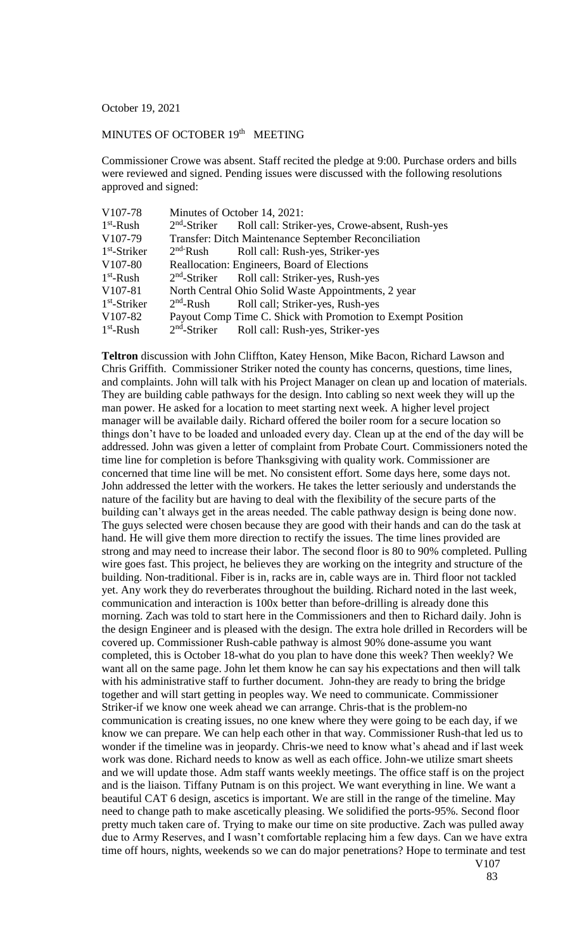October 19, 2021

## MINUTES OF OCTOBER 19<sup>th</sup> MEETING

Commissioner Crowe was absent. Staff recited the pledge at 9:00. Purchase orders and bills were reviewed and signed. Pending issues were discussed with the following resolutions approved and signed:

| V107-78        | Minutes of October 14, 2021: |                                                                         |
|----------------|------------------------------|-------------------------------------------------------------------------|
| $1st$ -Rush    |                              | 2 <sup>nd</sup> -Striker Roll call: Striker-yes, Crowe-absent, Rush-yes |
| V107-79        |                              | Transfer: Ditch Maintenance September Reconciliation                    |
| $1st$ -Striker |                              | 2 <sup>nd-</sup> Rush Roll call: Rush-yes, Striker-yes                  |
| V107-80        |                              | Reallocation: Engineers, Board of Elections                             |
| $1st$ -Rush    |                              | 2 <sup>nd</sup> -Striker Roll call: Striker-yes, Rush-yes               |
| V107-81        |                              | North Central Ohio Solid Waste Appointments, 2 year                     |
| $1st$ -Striker | $2nd$ -Rush                  | Roll call; Striker-yes, Rush-yes                                        |
| V107-82        |                              | Payout Comp Time C. Shick with Promotion to Exempt Position             |
| $1st$ -Rush    |                              | 2 <sup>nd</sup> -Striker Roll call: Rush-yes, Striker-yes               |

**Teltron** discussion with John Cliffton, Katey Henson, Mike Bacon, Richard Lawson and Chris Griffith. Commissioner Striker noted the county has concerns, questions, time lines, and complaints. John will talk with his Project Manager on clean up and location of materials. They are building cable pathways for the design. Into cabling so next week they will up the man power. He asked for a location to meet starting next week. A higher level project manager will be available daily. Richard offered the boiler room for a secure location so things don't have to be loaded and unloaded every day. Clean up at the end of the day will be addressed. John was given a letter of complaint from Probate Court. Commissioners noted the time line for completion is before Thanksgiving with quality work. Commissioner are concerned that time line will be met. No consistent effort. Some days here, some days not. John addressed the letter with the workers. He takes the letter seriously and understands the nature of the facility but are having to deal with the flexibility of the secure parts of the building can't always get in the areas needed. The cable pathway design is being done now. The guys selected were chosen because they are good with their hands and can do the task at hand. He will give them more direction to rectify the issues. The time lines provided are strong and may need to increase their labor. The second floor is 80 to 90% completed. Pulling wire goes fast. This project, he believes they are working on the integrity and structure of the building. Non-traditional. Fiber is in, racks are in, cable ways are in. Third floor not tackled yet. Any work they do reverberates throughout the building. Richard noted in the last week, communication and interaction is 100x better than before-drilling is already done this morning. Zach was told to start here in the Commissioners and then to Richard daily. John is the design Engineer and is pleased with the design. The extra hole drilled in Recorders will be covered up. Commissioner Rush-cable pathway is almost 90% done-assume you want completed, this is October 18-what do you plan to have done this week? Then weekly? We want all on the same page. John let them know he can say his expectations and then will talk with his administrative staff to further document. John-they are ready to bring the bridge together and will start getting in peoples way. We need to communicate. Commissioner Striker-if we know one week ahead we can arrange. Chris-that is the problem-no communication is creating issues, no one knew where they were going to be each day, if we know we can prepare. We can help each other in that way. Commissioner Rush-that led us to wonder if the timeline was in jeopardy. Chris-we need to know what's ahead and if last week work was done. Richard needs to know as well as each office. John-we utilize smart sheets and we will update those. Adm staff wants weekly meetings. The office staff is on the project and is the liaison. Tiffany Putnam is on this project. We want everything in line. We want a beautiful CAT 6 design, ascetics is important. We are still in the range of the timeline. May need to change path to make ascetically pleasing. We solidified the ports-95%. Second floor pretty much taken care of. Trying to make our time on site productive. Zach was pulled away due to Army Reserves, and I wasn't comfortable replacing him a few days. Can we have extra time off hours, nights, weekends so we can do major penetrations? Hope to terminate and test V107

83